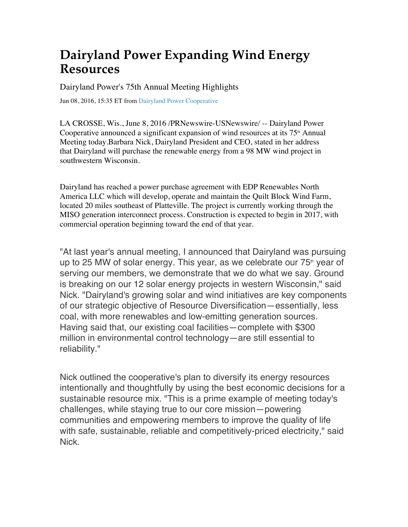## **Dairyland Power Expanding Wind Energy Resources**

Dairyland Power's 75th Annual Meeting Highlights

Jun 08, 2016, 15:35 ET from Dairyland Power Cooperative

LA CROSSE, Wis., June 8, 2016 /PRNewswire-USNewswire/ -- Dairyland Power Cooperative announced a significant expansion of wind resources at its  $75<sup>th</sup>$  Annual Meeting today.Barbara Nick, Dairyland President and CEO, stated in her address that Dairyland will purchase the renewable energy from a 98 MW wind project in southwestern Wisconsin.

Dairyland has reached a power purchase agreement with EDP Renewables North America LLC which will develop, operate and maintain the Quilt Block Wind Farm, located 20 miles southeast of Platteville. The project is currently working through the MISO generation interconnect process. Construction is expected to begin in 2017, with commercial operation beginning toward the end of that year.

"At last year's annual meeting, I announced that Dairyland was pursuing up to 25 MW of solar energy. This year, as we celebrate our  $75<sup>th</sup>$  year of serving our members, we demonstrate that we do what we say. Ground is breaking on our 12 solar energy projects in western Wisconsin," said Nick. "Dairyland's growing solar and wind initiatives are key components of our strategic objective of Resource Diversification—essentially, less coal, with more renewables and low-emitting generation sources. Having said that, our existing coal facilities—complete with \$300 million in environmental control technology—are still essential to reliability."

Nick outlined the cooperative's plan to diversify its energy resources intentionally and thoughtfully by using the best economic decisions for a sustainable resource mix. "This is a prime example of meeting today's challenges, while staying true to our core mission—powering communities and empowering members to improve the quality of life with safe, sustainable, reliable and competitively-priced electricity," said Nick.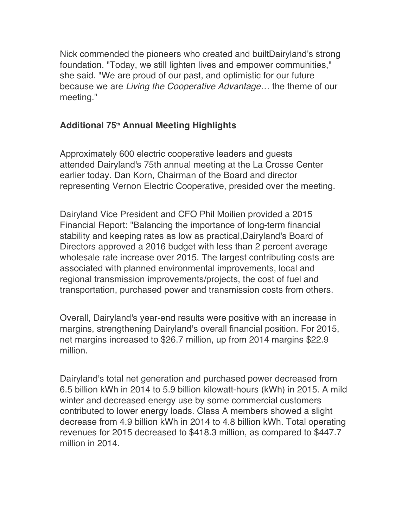Nick commended the pioneers who created and builtDairyland's strong foundation. "Today, we still lighten lives and empower communities," she said. "We are proud of our past, and optimistic for our future because we are *Living the Cooperative Advantage*… the theme of our meeting."

## **Additional 75th Annual Meeting Highlights**

Approximately 600 electric cooperative leaders and guests attended Dairyland's 75th annual meeting at the La Crosse Center earlier today. Dan Korn, Chairman of the Board and director representing Vernon Electric Cooperative, presided over the meeting.

Dairyland Vice President and CFO Phil Moilien provided a 2015 Financial Report: "Balancing the importance of long-term financial stability and keeping rates as low as practical,Dairyland's Board of Directors approved a 2016 budget with less than 2 percent average wholesale rate increase over 2015. The largest contributing costs are associated with planned environmental improvements, local and regional transmission improvements/projects, the cost of fuel and transportation, purchased power and transmission costs from others.

Overall, Dairyland's year-end results were positive with an increase in margins, strengthening Dairyland's overall financial position. For 2015, net margins increased to \$26.7 million, up from 2014 margins \$22.9 million.

Dairyland's total net generation and purchased power decreased from 6.5 billion kWh in 2014 to 5.9 billion kilowatt-hours (kWh) in 2015. A mild winter and decreased energy use by some commercial customers contributed to lower energy loads. Class A members showed a slight decrease from 4.9 billion kWh in 2014 to 4.8 billion kWh. Total operating revenues for 2015 decreased to \$418.3 million, as compared to \$447.7 million in 2014.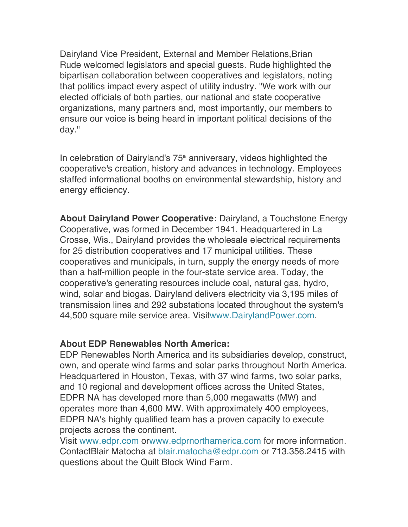Dairyland Vice President, External and Member Relations,Brian Rude welcomed legislators and special guests. Rude highlighted the bipartisan collaboration between cooperatives and legislators, noting that politics impact every aspect of utility industry. "We work with our elected officials of both parties, our national and state cooperative organizations, many partners and, most importantly, our members to ensure our voice is being heard in important political decisions of the day."

In celebration of Dairyland's 75<sup>th</sup> anniversary, videos highlighted the cooperative's creation, history and advances in technology. Employees staffed informational booths on environmental stewardship, history and energy efficiency.

**About Dairyland Power Cooperative:** Dairyland, a Touchstone Energy Cooperative, was formed in December 1941. Headquartered in La Crosse, Wis., Dairyland provides the wholesale electrical requirements for 25 distribution cooperatives and 17 municipal utilities. These cooperatives and municipals, in turn, supply the energy needs of more than a half-million people in the four-state service area. Today, the cooperative's generating resources include coal, natural gas, hydro, wind, solar and biogas. Dairyland delivers electricity via 3,195 miles of transmission lines and 292 substations located throughout the system's 44,500 square mile service area. Visitwww.DairylandPower.com.

## **About EDP Renewables North America:**

EDP Renewables North America and its subsidiaries develop, construct, own, and operate wind farms and solar parks throughout North America. Headquartered in Houston, Texas, with 37 wind farms, two solar parks, and 10 regional and development offices across the United States, EDPR NA has developed more than 5,000 megawatts (MW) and operates more than 4,600 MW. With approximately 400 employees, EDPR NA's highly qualified team has a proven capacity to execute projects across the continent.

Visit www.edpr.com orwww.edprnorthamerica.com for more information. ContactBlair Matocha at blair.matocha@edpr.com or 713.356.2415 with questions about the Quilt Block Wind Farm.